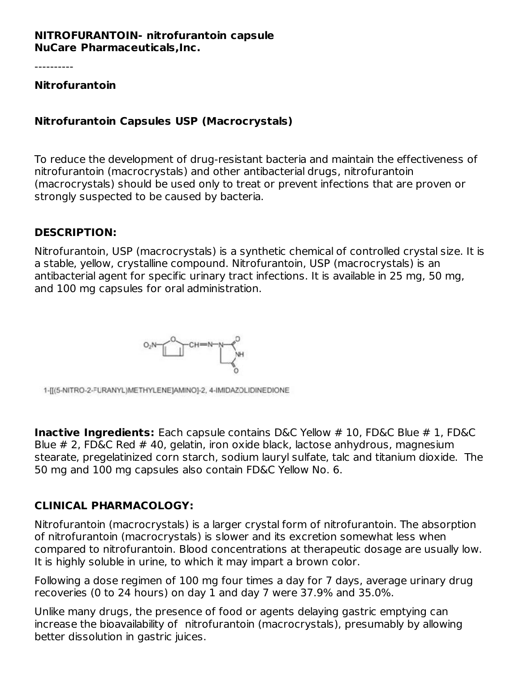#### **NITROFURANTOIN- nitrofurantoin capsule NuCare Pharmaceuticals,Inc.**

----------

#### **Nitrofurantoin**

#### **Nitrofurantoin Capsules USP (Macrocrystals)**

To reduce the development of drug-resistant bacteria and maintain the effectiveness of nitrofurantoin (macrocrystals) and other antibacterial drugs, nitrofurantoin (macrocrystals) should be used only to treat or prevent infections that are proven or strongly suspected to be caused by bacteria.

#### **DESCRIPTION:**

Nitrofurantoin, USP (macrocrystals) is a synthetic chemical of controlled crystal size. It is a stable, yellow, crystalline compound. Nitrofurantoin, USP (macrocrystals) is an antibacterial agent for specific urinary tract infections. It is available in 25 mg, 50 mg, and 100 mg capsules for oral administration.



1-[[(5-NITRO-2-FURANYL)METHYLENE]AMINO]-2, 4-IMIDAZOLIDINEDIONE

**Inactive Ingredients:** Each capsule contains D&C Yellow # 10, FD&C Blue # 1, FD&C Blue  $\#$  2, FD&C Red  $\#$  40, gelatin, iron oxide black, lactose anhydrous, magnesium stearate, pregelatinized corn starch, sodium lauryl sulfate, talc and titanium dioxide. The 50 mg and 100 mg capsules also contain FD&C Yellow No. 6.

## **CLINICAL PHARMACOLOGY:**

Nitrofurantoin (macrocrystals) is a larger crystal form of nitrofurantoin. The absorption of nitrofurantoin (macrocrystals) is slower and its excretion somewhat less when compared to nitrofurantoin. Blood concentrations at therapeutic dosage are usually low. It is highly soluble in urine, to which it may impart a brown color.

Following a dose regimen of 100 mg four times a day for 7 days, average urinary drug recoveries (0 to 24 hours) on day 1 and day 7 were 37.9% and 35.0%.

Unlike many drugs, the presence of food or agents delaying gastric emptying can increase the bioavailability of nitrofurantoin (macrocrystals), presumably by allowing better dissolution in gastric juices.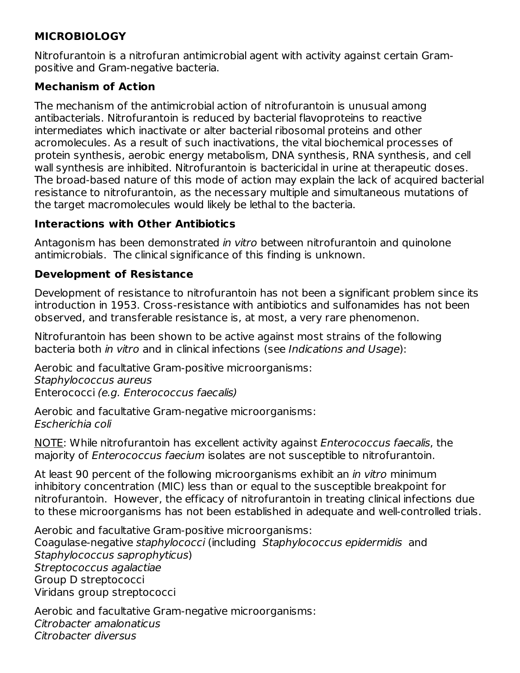## **MICROBIOLOGY**

Nitrofurantoin is a nitrofuran antimicrobial agent with activity against certain Grampositive and Gram-negative bacteria.

#### **Mechanism of Action**

The mechanism of the antimicrobial action of nitrofurantoin is unusual among antibacterials. Nitrofurantoin is reduced by bacterial flavoproteins to reactive intermediates which inactivate or alter bacterial ribosomal proteins and other acromolecules. As a result of such inactivations, the vital biochemical processes of protein synthesis, aerobic energy metabolism, DNA synthesis, RNA synthesis, and cell wall synthesis are inhibited. Nitrofurantoin is bactericidal in urine at therapeutic doses. The broad-based nature of this mode of action may explain the lack of acquired bacterial resistance to nitrofurantoin, as the necessary multiple and simultaneous mutations of the target macromolecules would likely be lethal to the bacteria.

#### **Interactions with Other Antibiotics**

Antagonism has been demonstrated in vitro between nitrofurantoin and quinolone antimicrobials. The clinical significance of this finding is unknown.

## **Development of Resistance**

Development of resistance to nitrofurantoin has not been a significant problem since its introduction in 1953. Cross-resistance with antibiotics and sulfonamides has not been observed, and transferable resistance is, at most, a very rare phenomenon.

Nitrofurantoin has been shown to be active against most strains of the following bacteria both in vitro and in clinical infections (see Indications and Usage):

Aerobic and facultative Gram-positive microorganisms: Staphylococcus aureus Enterococci (e.g. Enterococcus faecalis)

Aerobic and facultative Gram-negative microorganisms: Escherichia coli

NOTE: While nitrofurantoin has excellent activity against Enterococcus faecalis, the majority of *Enterococcus faecium* isolates are not susceptible to nitrofurantoin.

At least 90 percent of the following microorganisms exhibit an in vitro minimum inhibitory concentration (MIC) less than or equal to the susceptible breakpoint for nitrofurantoin. However, the efficacy of nitrofurantoin in treating clinical infections due to these microorganisms has not been established in adequate and well-controlled trials.

Aerobic and facultative Gram-positive microorganisms: Coagulase-negative staphylococci (including Staphylococcus epidermidis and Staphylococcus saprophyticus) Streptococcus agalactiae Group D streptococci Viridans group streptococci

Aerobic and facultative Gram-negative microorganisms: Citrobacter amalonaticus Citrobacter diversus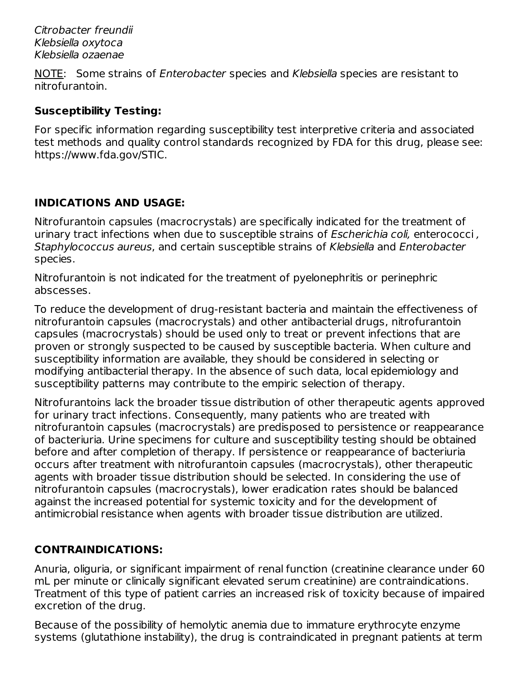Citrobacter freundii Klebsiella oxytoca Klebsiella ozaenae

NOTE: Some strains of Enterobacter species and Klebsiella species are resistant to nitrofurantoin.

#### **Susceptibility Testing:**

For specific information regarding susceptibility test interpretive criteria and associated test methods and quality control standards recognized by FDA for this drug, please see: https://www.fda.gov/STIC.

## **INDICATIONS AND USAGE:**

Nitrofurantoin capsules (macrocrystals) are specifically indicated for the treatment of urinary tract infections when due to susceptible strains of *Escherichia coli*, enterococci, Staphylococcus aureus, and certain susceptible strains of Klebsiella and Enterobacter species.

Nitrofurantoin is not indicated for the treatment of pyelonephritis or perinephric abscesses.

To reduce the development of drug-resistant bacteria and maintain the effectiveness of nitrofurantoin capsules (macrocrystals) and other antibacterial drugs, nitrofurantoin capsules (macrocrystals) should be used only to treat or prevent infections that are proven or strongly suspected to be caused by susceptible bacteria. When culture and susceptibility information are available, they should be considered in selecting or modifying antibacterial therapy. In the absence of such data, local epidemiology and susceptibility patterns may contribute to the empiric selection of therapy.

Nitrofurantoins lack the broader tissue distribution of other therapeutic agents approved for urinary tract infections. Consequently, many patients who are treated with nitrofurantoin capsules (macrocrystals) are predisposed to persistence or reappearance of bacteriuria. Urine specimens for culture and susceptibility testing should be obtained before and after completion of therapy. If persistence or reappearance of bacteriuria occurs after treatment with nitrofurantoin capsules (macrocrystals), other therapeutic agents with broader tissue distribution should be selected. In considering the use of nitrofurantoin capsules (macrocrystals), lower eradication rates should be balanced against the increased potential for systemic toxicity and for the development of antimicrobial resistance when agents with broader tissue distribution are utilized.

# **CONTRAINDICATIONS:**

Anuria, oliguria, or significant impairment of renal function (creatinine clearance under 60 mL per minute or clinically significant elevated serum creatinine) are contraindications. Treatment of this type of patient carries an increased risk of toxicity because of impaired excretion of the drug.

Because of the possibility of hemolytic anemia due to immature erythrocyte enzyme systems (glutathione instability), the drug is contraindicated in pregnant patients at term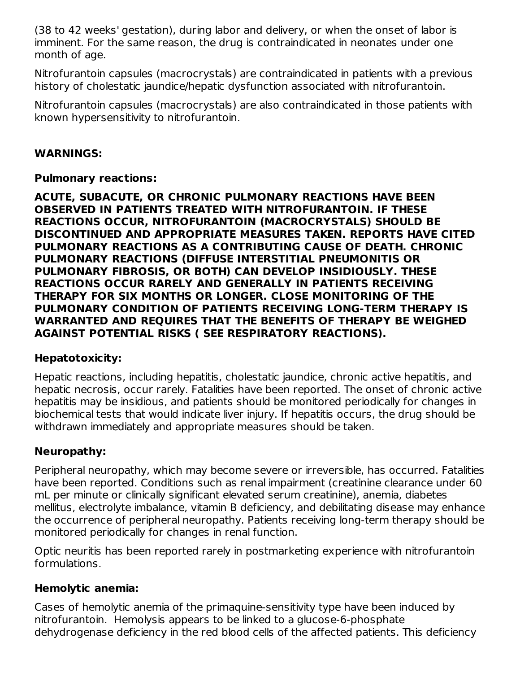(38 to 42 weeks' gestation), during labor and delivery, or when the onset of labor is imminent. For the same reason, the drug is contraindicated in neonates under one month of age.

Nitrofurantoin capsules (macrocrystals) are contraindicated in patients with a previous history of cholestatic jaundice/hepatic dysfunction associated with nitrofurantoin.

Nitrofurantoin capsules (macrocrystals) are also contraindicated in those patients with known hypersensitivity to nitrofurantoin.

#### **WARNINGS:**

#### **Pulmonary reactions:**

**ACUTE, SUBACUTE, OR CHRONIC PULMONARY REACTIONS HAVE BEEN OBSERVED IN PATIENTS TREATED WITH NITROFURANTOIN. IF THESE REACTIONS OCCUR, NITROFURANTOIN (MACROCRYSTALS) SHOULD BE DISCONTINUED AND APPROPRIATE MEASURES TAKEN. REPORTS HAVE CITED PULMONARY REACTIONS AS A CONTRIBUTING CAUSE OF DEATH. CHRONIC PULMONARY REACTIONS (DIFFUSE INTERSTITIAL PNEUMONITIS OR PULMONARY FIBROSIS, OR BOTH) CAN DEVELOP INSIDIOUSLY. THESE REACTIONS OCCUR RARELY AND GENERALLY IN PATIENTS RECEIVING THERAPY FOR SIX MONTHS OR LONGER. CLOSE MONITORING OF THE PULMONARY CONDITION OF PATIENTS RECEIVING LONG-TERM THERAPY IS WARRANTED AND REQUIRES THAT THE BENEFITS OF THERAPY BE WEIGHED AGAINST POTENTIAL RISKS ( SEE RESPIRATORY REACTIONS).**

## **Hepatotoxicity:**

Hepatic reactions, including hepatitis, cholestatic jaundice, chronic active hepatitis, and hepatic necrosis, occur rarely. Fatalities have been reported. The onset of chronic active hepatitis may be insidious, and patients should be monitored periodically for changes in biochemical tests that would indicate liver injury. If hepatitis occurs, the drug should be withdrawn immediately and appropriate measures should be taken.

## **Neuropathy:**

Peripheral neuropathy, which may become severe or irreversible, has occurred. Fatalities have been reported. Conditions such as renal impairment (creatinine clearance under 60 mL per minute or clinically significant elevated serum creatinine), anemia, diabetes mellitus, electrolyte imbalance, vitamin B deficiency, and debilitating disease may enhance the occurrence of peripheral neuropathy. Patients receiving long-term therapy should be monitored periodically for changes in renal function.

Optic neuritis has been reported rarely in postmarketing experience with nitrofurantoin formulations.

## **Hemolytic anemia:**

Cases of hemolytic anemia of the primaquine-sensitivity type have been induced by nitrofurantoin. Hemolysis appears to be linked to a glucose-6-phosphate dehydrogenase deficiency in the red blood cells of the affected patients. This deficiency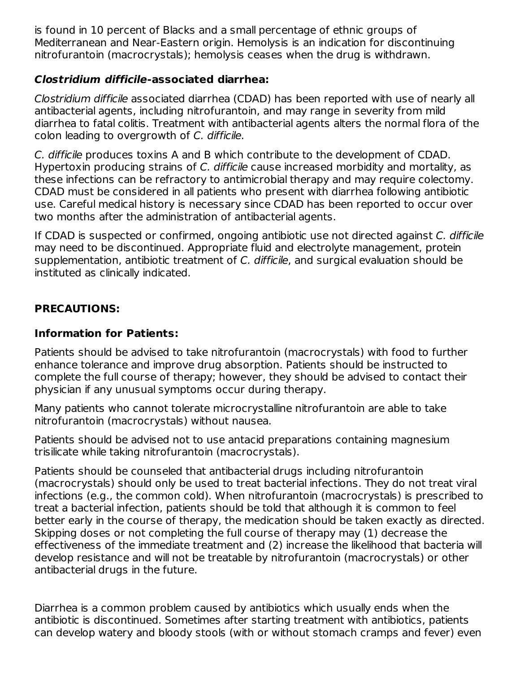is found in 10 percent of Blacks and a small percentage of ethnic groups of Mediterranean and Near-Eastern origin. Hemolysis is an indication for discontinuing nitrofurantoin (macrocrystals); hemolysis ceases when the drug is withdrawn.

#### **Clostridium difficile-associated diarrhea:**

Clostridium difficile associated diarrhea (CDAD) has been reported with use of nearly all antibacterial agents, including nitrofurantoin, and may range in severity from mild diarrhea to fatal colitis. Treatment with antibacterial agents alters the normal flora of the colon leading to overgrowth of C. difficile.

C. difficile produces toxins A and B which contribute to the development of CDAD. Hypertoxin producing strains of C. difficile cause increased morbidity and mortality, as these infections can be refractory to antimicrobial therapy and may require colectomy. CDAD must be considered in all patients who present with diarrhea following antibiotic use. Careful medical history is necessary since CDAD has been reported to occur over two months after the administration of antibacterial agents.

If CDAD is suspected or confirmed, ongoing antibiotic use not directed against C. difficile may need to be discontinued. Appropriate fluid and electrolyte management, protein supplementation, antibiotic treatment of C. difficile, and surgical evaluation should be instituted as clinically indicated.

# **PRECAUTIONS:**

## **Information for Patients:**

Patients should be advised to take nitrofurantoin (macrocrystals) with food to further enhance tolerance and improve drug absorption. Patients should be instructed to complete the full course of therapy; however, they should be advised to contact their physician if any unusual symptoms occur during therapy.

Many patients who cannot tolerate microcrystalline nitrofurantoin are able to take nitrofurantoin (macrocrystals) without nausea.

Patients should be advised not to use antacid preparations containing magnesium trisilicate while taking nitrofurantoin (macrocrystals).

Patients should be counseled that antibacterial drugs including nitrofurantoin (macrocrystals) should only be used to treat bacterial infections. They do not treat viral infections (e.g., the common cold). When nitrofurantoin (macrocrystals) is prescribed to treat a bacterial infection, patients should be told that although it is common to feel better early in the course of therapy, the medication should be taken exactly as directed. Skipping doses or not completing the full course of therapy may (1) decrease the effectiveness of the immediate treatment and (2) increase the likelihood that bacteria will develop resistance and will not be treatable by nitrofurantoin (macrocrystals) or other antibacterial drugs in the future.

Diarrhea is a common problem caused by antibiotics which usually ends when the antibiotic is discontinued. Sometimes after starting treatment with antibiotics, patients can develop watery and bloody stools (with or without stomach cramps and fever) even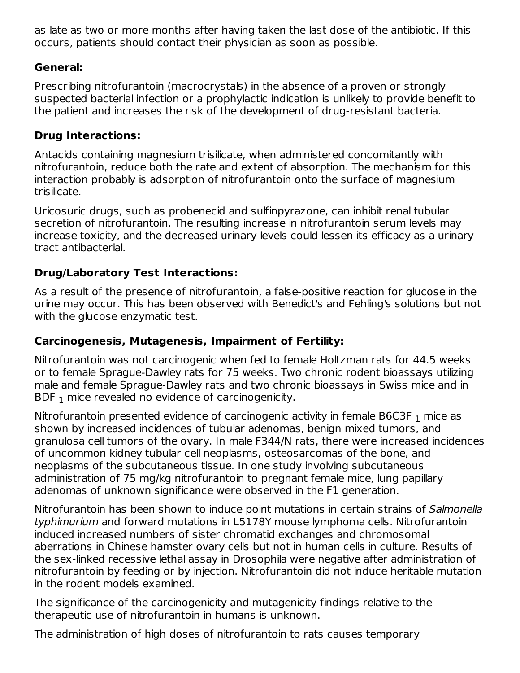as late as two or more months after having taken the last dose of the antibiotic. If this occurs, patients should contact their physician as soon as possible.

#### **General:**

Prescribing nitrofurantoin (macrocrystals) in the absence of a proven or strongly suspected bacterial infection or a prophylactic indication is unlikely to provide benefit to the patient and increases the risk of the development of drug-resistant bacteria.

# **Drug Interactions:**

Antacids containing magnesium trisilicate, when administered concomitantly with nitrofurantoin, reduce both the rate and extent of absorption. The mechanism for this interaction probably is adsorption of nitrofurantoin onto the surface of magnesium trisilicate.

Uricosuric drugs, such as probenecid and sulfinpyrazone, can inhibit renal tubular secretion of nitrofurantoin. The resulting increase in nitrofurantoin serum levels may increase toxicity, and the decreased urinary levels could lessen its efficacy as a urinary tract antibacterial.

## **Drug/Laboratory Test Interactions:**

As a result of the presence of nitrofurantoin, a false-positive reaction for glucose in the urine may occur. This has been observed with Benedict's and Fehling's solutions but not with the glucose enzymatic test.

#### **Carcinogenesis, Mutagenesis, Impairment of Fertility:**

Nitrofurantoin was not carcinogenic when fed to female Holtzman rats for 44.5 weeks or to female Sprague-Dawley rats for 75 weeks. Two chronic rodent bioassays utilizing male and female Sprague-Dawley rats and two chronic bioassays in Swiss mice and in BDF  $_{\rm 1}$  mice revealed no evidence of carcinogenicity.

Nitrofurantoin presented evidence of carcinogenic activity in female B6C3F  $_{\rm 1}$  mice as shown by increased incidences of tubular adenomas, benign mixed tumors, and granulosa cell tumors of the ovary. In male F344/N rats, there were increased incidences of uncommon kidney tubular cell neoplasms, osteosarcomas of the bone, and neoplasms of the subcutaneous tissue. In one study involving subcutaneous administration of 75 mg/kg nitrofurantoin to pregnant female mice, lung papillary adenomas of unknown significance were observed in the F1 generation.

Nitrofurantoin has been shown to induce point mutations in certain strains of Salmonella typhimurium and forward mutations in L5178Y mouse lymphoma cells. Nitrofurantoin induced increased numbers of sister chromatid exchanges and chromosomal aberrations in Chinese hamster ovary cells but not in human cells in culture. Results of the sex-linked recessive lethal assay in Drosophila were negative after administration of nitrofurantoin by feeding or by injection. Nitrofurantoin did not induce heritable mutation in the rodent models examined.

The significance of the carcinogenicity and mutagenicity findings relative to the therapeutic use of nitrofurantoin in humans is unknown.

The administration of high doses of nitrofurantoin to rats causes temporary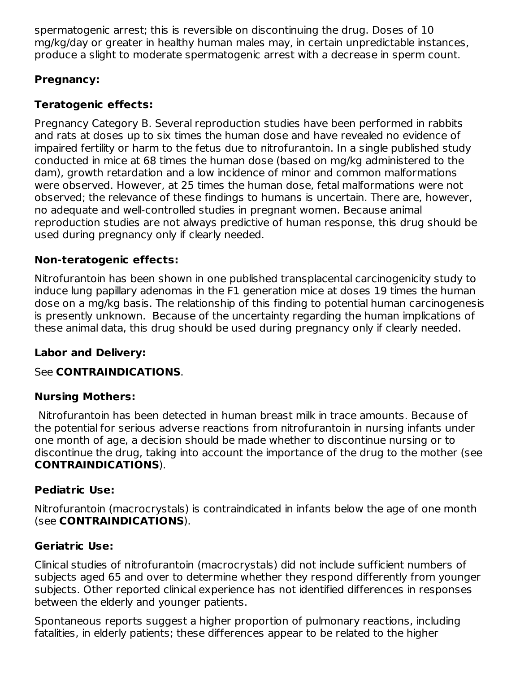spermatogenic arrest; this is reversible on discontinuing the drug. Doses of 10 mg/kg/day or greater in healthy human males may, in certain unpredictable instances, produce a slight to moderate spermatogenic arrest with a decrease in sperm count.

# **Pregnancy:**

# **Teratogenic effects:**

Pregnancy Category B. Several reproduction studies have been performed in rabbits and rats at doses up to six times the human dose and have revealed no evidence of impaired fertility or harm to the fetus due to nitrofurantoin. In a single published study conducted in mice at 68 times the human dose (based on mg/kg administered to the dam), growth retardation and a low incidence of minor and common malformations were observed. However, at 25 times the human dose, fetal malformations were not observed; the relevance of these findings to humans is uncertain. There are, however, no adequate and well-controlled studies in pregnant women. Because animal reproduction studies are not always predictive of human response, this drug should be used during pregnancy only if clearly needed.

# **Non-teratogenic effects:**

Nitrofurantoin has been shown in one published transplacental carcinogenicity study to induce lung papillary adenomas in the F1 generation mice at doses 19 times the human dose on a mg/kg basis. The relationship of this finding to potential human carcinogenesis is presently unknown. Because of the uncertainty regarding the human implications of these animal data, this drug should be used during pregnancy only if clearly needed.

## **Labor and Delivery:**

## See **CONTRAINDICATIONS**.

## **Nursing Mothers:**

Nitrofurantoin has been detected in human breast milk in trace amounts. Because of the potential for serious adverse reactions from nitrofurantoin in nursing infants under one month of age, a decision should be made whether to discontinue nursing or to discontinue the drug, taking into account the importance of the drug to the mother (see **CONTRAINDICATIONS**).

## **Pediatric Use:**

Nitrofurantoin (macrocrystals) is contraindicated in infants below the age of one month (see **CONTRAINDICATIONS**).

## **Geriatric Use:**

Clinical studies of nitrofurantoin (macrocrystals) did not include sufficient numbers of subjects aged 65 and over to determine whether they respond differently from younger subjects. Other reported clinical experience has not identified differences in responses between the elderly and younger patients.

Spontaneous reports suggest a higher proportion of pulmonary reactions, including fatalities, in elderly patients; these differences appear to be related to the higher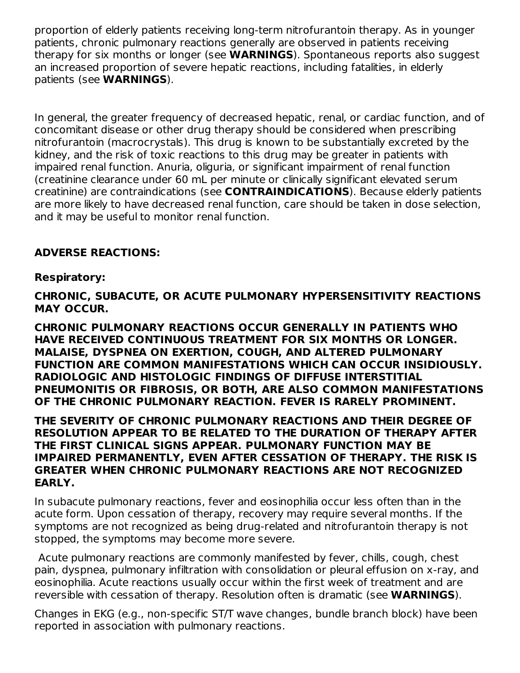proportion of elderly patients receiving long-term nitrofurantoin therapy. As in younger patients, chronic pulmonary reactions generally are observed in patients receiving therapy for six months or longer (see **WARNINGS**). Spontaneous reports also suggest an increased proportion of severe hepatic reactions, including fatalities, in elderly patients (see **WARNINGS**).

In general, the greater frequency of decreased hepatic, renal, or cardiac function, and of concomitant disease or other drug therapy should be considered when prescribing nitrofurantoin (macrocrystals). This drug is known to be substantially excreted by the kidney, and the risk of toxic reactions to this drug may be greater in patients with impaired renal function. Anuria, oliguria, or significant impairment of renal function (creatinine clearance under 60 mL per minute or clinically significant elevated serum creatinine) are contraindications (see **CONTRAINDICATIONS**). Because elderly patients are more likely to have decreased renal function, care should be taken in dose selection, and it may be useful to monitor renal function.

#### **ADVERSE REACTIONS:**

#### **Respiratory:**

**CHRONIC, SUBACUTE, OR ACUTE PULMONARY HYPERSENSITIVITY REACTIONS MAY OCCUR.**

**CHRONIC PULMONARY REACTIONS OCCUR GENERALLY IN PATIENTS WHO HAVE RECEIVED CONTINUOUS TREATMENT FOR SIX MONTHS OR LONGER. MALAISE, DYSPNEA ON EXERTION, COUGH, AND ALTERED PULMONARY FUNCTION ARE COMMON MANIFESTATIONS WHICH CAN OCCUR INSIDIOUSLY. RADIOLOGIC AND HISTOLOGIC FINDINGS OF DIFFUSE INTERSTITIAL PNEUMONITIS OR FIBROSIS, OR BOTH, ARE ALSO COMMON MANIFESTATIONS OF THE CHRONIC PULMONARY REACTION. FEVER IS RARELY PROMINENT.**

#### **THE SEVERITY OF CHRONIC PULMONARY REACTIONS AND THEIR DEGREE OF RESOLUTION APPEAR TO BE RELATED TO THE DURATION OF THERAPY AFTER THE FIRST CLINICAL SIGNS APPEAR. PULMONARY FUNCTION MAY BE IMPAIRED PERMANENTLY, EVEN AFTER CESSATION OF THERAPY. THE RISK IS GREATER WHEN CHRONIC PULMONARY REACTIONS ARE NOT RECOGNIZED EARLY.**

In subacute pulmonary reactions, fever and eosinophilia occur less often than in the acute form. Upon cessation of therapy, recovery may require several months. If the symptoms are not recognized as being drug-related and nitrofurantoin therapy is not stopped, the symptoms may become more severe.

Acute pulmonary reactions are commonly manifested by fever, chills, cough, chest pain, dyspnea, pulmonary infiltration with consolidation or pleural effusion on x-ray, and eosinophilia. Acute reactions usually occur within the first week of treatment and are reversible with cessation of therapy. Resolution often is dramatic (see **WARNINGS**).

Changes in EKG (e.g., non-specific ST/T wave changes, bundle branch block) have been reported in association with pulmonary reactions.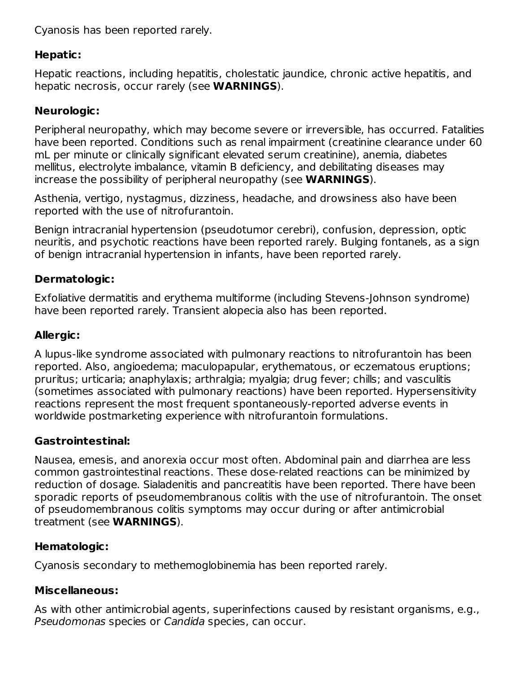Cyanosis has been reported rarely.

# **Hepatic:**

Hepatic reactions, including hepatitis, cholestatic jaundice, chronic active hepatitis, and hepatic necrosis, occur rarely (see **WARNINGS**).

#### **Neurologic:**

Peripheral neuropathy, which may become severe or irreversible, has occurred. Fatalities have been reported. Conditions such as renal impairment (creatinine clearance under 60 mL per minute or clinically significant elevated serum creatinine), anemia, diabetes mellitus, electrolyte imbalance, vitamin B deficiency, and debilitating diseases may increase the possibility of peripheral neuropathy (see **WARNINGS**).

Asthenia, vertigo, nystagmus, dizziness, headache, and drowsiness also have been reported with the use of nitrofurantoin.

Benign intracranial hypertension (pseudotumor cerebri), confusion, depression, optic neuritis, and psychotic reactions have been reported rarely. Bulging fontanels, as a sign of benign intracranial hypertension in infants, have been reported rarely.

## **Dermatologic:**

Exfoliative dermatitis and erythema multiforme (including Stevens-Johnson syndrome) have been reported rarely. Transient alopecia also has been reported.

# **Allergic:**

A lupus-like syndrome associated with pulmonary reactions to nitrofurantoin has been reported. Also, angioedema; maculopapular, erythematous, or eczematous eruptions; pruritus; urticaria; anaphylaxis; arthralgia; myalgia; drug fever; chills; and vasculitis (sometimes associated with pulmonary reactions) have been reported. Hypersensitivity reactions represent the most frequent spontaneously-reported adverse events in worldwide postmarketing experience with nitrofurantoin formulations.

## **Gastrointestinal:**

Nausea, emesis, and anorexia occur most often. Abdominal pain and diarrhea are less common gastrointestinal reactions. These dose-related reactions can be minimized by reduction of dosage. Sialadenitis and pancreatitis have been reported. There have been sporadic reports of pseudomembranous colitis with the use of nitrofurantoin. The onset of pseudomembranous colitis symptoms may occur during or after antimicrobial treatment (see **WARNINGS**).

## **Hematologic:**

Cyanosis secondary to methemoglobinemia has been reported rarely.

## **Miscellaneous:**

As with other antimicrobial agents, superinfections caused by resistant organisms, e.g., Pseudomonas species or Candida species, can occur.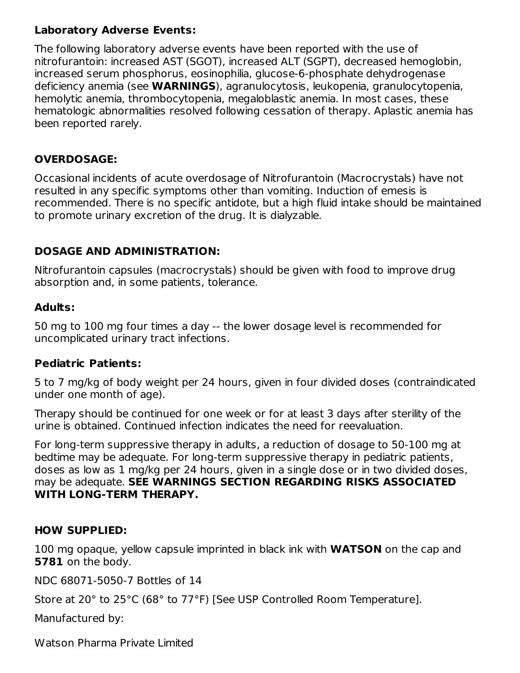#### **Laboratory Adverse Events:**

The following laboratory adverse events have been reported with the use of nitrofurantoin: increased AST (SGOT), increased ALT (SGPT), decreased hemoglobin, increased serum phosphorus, eosinophilia, glucose-6-phosphate dehydrogenase deficiency anemia (see **WARNINGS**), agranulocytosis, leukopenia, granulocytopenia, hemolytic anemia, thrombocytopenia, megaloblastic anemia. In most cases, these hematologic abnormalities resolved following cessation of therapy. Aplastic anemia has been reported rarely.

#### **OVERDOSAGE:**

Occasional incidents of acute overdosage of Nitrofurantoin (Macrocrystals) have not resulted in any specific symptoms other than vomiting. Induction of emesis is recommended. There is no specific antidote, but a high fluid intake should be maintained to promote urinary excretion of the drug. It is dialyzable.

#### **DOSAGE AND ADMINISTRATION:**

Nitrofurantoin capsules (macrocrystals) should be given with food to improve drug absorption and, in some patients, tolerance.

#### **Adults:**

50 mg to 100 mg four times a day -- the lower dosage level is recommended for uncomplicated urinary tract infections.

#### **Pediatric Patients:**

5 to 7 mg/kg of body weight per 24 hours, given in four divided doses (contraindicated under one month of age).

Therapy should be continued for one week or for at least 3 days after sterility of the urine is obtained. Continued infection indicates the need for reevaluation.

For long-term suppressive therapy in adults, a reduction of dosage to 50-100 mg at bedtime may be adequate. For long-term suppressive therapy in pediatric patients, doses as low as 1 mg/kg per 24 hours, given in a single dose or in two divided doses, may be adequate. **SEE WARNINGS SECTION REGARDING RISKS ASSOCIATED WITH LONG-TERM THERAPY.**

#### **HOW SUPPLIED:**

100 mg opaque, yellow capsule imprinted in black ink with **WATSON** on the cap and **5781** on the body.

NDC 68071-5050-7 Bottles of 14

Store at 20° to 25°C (68° to 77°F) [See USP Controlled Room Temperature].

Manufactured by:

Watson Pharma Private Limited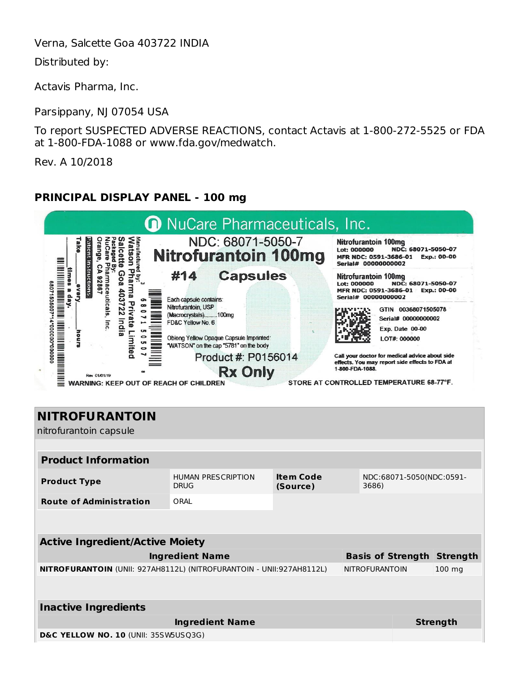Verna, Salcette Goa 403722 INDIA

Distributed by:

Actavis Pharma, Inc.

Parsippany, NJ 07054 USA

To report SUSPECTED ADVERSE REACTIONS, contact Actavis at 1-800-272-5525 or FDA at 1-800-FDA-1088 or www.fda.gov/medwatch.

Rev. A 10/2018

## **PRINCIPAL DISPLAY PANEL - 100 mg**



# **NITROFURANTOIN** nitrofurantoin capsule **Product Information Product Type** HUMAN PRESCRIPTION **DRUG Item Code (Source)** NDC:68071-5050(NDC:0591- 3686) **Route of Administration** ORAL **Active Ingredient/Active Moiety Ingredient Name Basis of Strength Strength NITROFURANTOIN** (UNII: 927AH8112L) (NITROFURANTOIN - UNII:927AH8112L) NITROFURANTOIN 100 mg **Inactive Ingredients Ingredient Name Strength D&C YELLOW NO. 10** (UNII: 35SW5USQ3G)